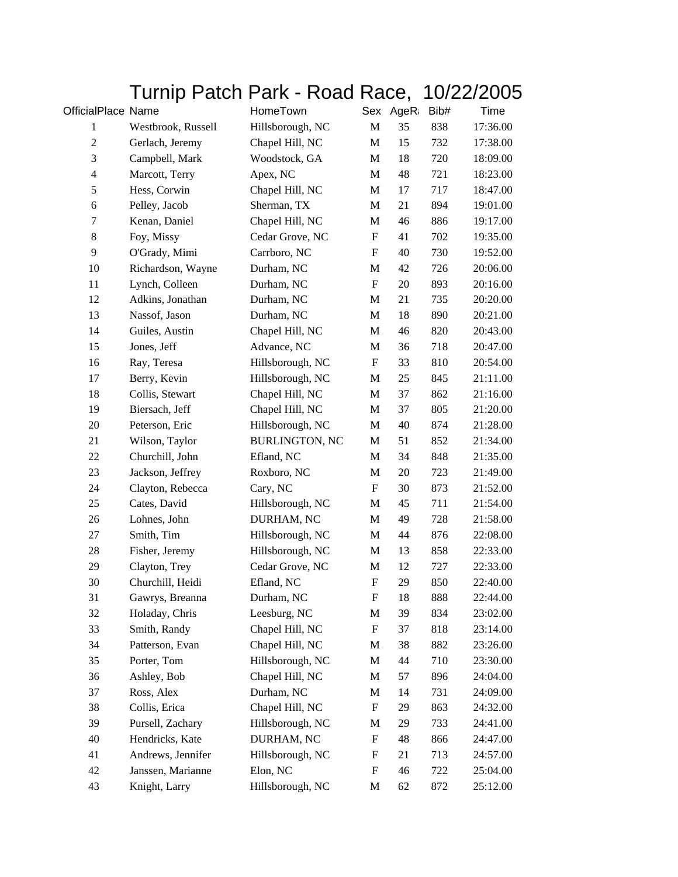## Turnip Patch Park - Road Race, 10/22/2005

| OfficialPlace Name |                    | HomeTown              |                           | Sex AgeR | Bib# | Time     |
|--------------------|--------------------|-----------------------|---------------------------|----------|------|----------|
| $\mathbf{1}$       | Westbrook, Russell | Hillsborough, NC      | M                         | 35       | 838  | 17:36.00 |
| $\boldsymbol{2}$   | Gerlach, Jeremy    | Chapel Hill, NC       | M                         | 15       | 732  | 17:38.00 |
| 3                  | Campbell, Mark     | Woodstock, GA         | M                         | 18       | 720  | 18:09.00 |
| $\overline{4}$     | Marcott, Terry     | Apex, NC              | $\mathbf{M}$              | 48       | 721  | 18:23.00 |
| $\mathfrak s$      | Hess, Corwin       | Chapel Hill, NC       | M                         | 17       | 717  | 18:47.00 |
| 6                  | Pelley, Jacob      | Sherman, TX           | $\mathbf M$               | 21       | 894  | 19:01.00 |
| 7                  | Kenan, Daniel      | Chapel Hill, NC       | M                         | 46       | 886  | 19:17.00 |
| $\,8\,$            | Foy, Missy         | Cedar Grove, NC       | F                         | 41       | 702  | 19:35.00 |
| 9                  | O'Grady, Mimi      | Carrboro, NC          | F                         | 40       | 730  | 19:52.00 |
| 10                 | Richardson, Wayne  | Durham, NC            | M                         | 42       | 726  | 20:06.00 |
| 11                 | Lynch, Colleen     | Durham, NC            | $\mathbf F$               | 20       | 893  | 20:16.00 |
| 12                 | Adkins, Jonathan   | Durham, NC            | M                         | 21       | 735  | 20:20.00 |
| 13                 | Nassof, Jason      | Durham, NC            | M                         | 18       | 890  | 20:21.00 |
| 14                 | Guiles, Austin     | Chapel Hill, NC       | M                         | 46       | 820  | 20:43.00 |
| 15                 | Jones, Jeff        | Advance, NC           | M                         | 36       | 718  | 20:47.00 |
| 16                 | Ray, Teresa        | Hillsborough, NC      | F                         | 33       | 810  | 20:54.00 |
| 17                 | Berry, Kevin       | Hillsborough, NC      | M                         | 25       | 845  | 21:11.00 |
| 18                 | Collis, Stewart    | Chapel Hill, NC       | M                         | 37       | 862  | 21:16.00 |
| 19                 | Biersach, Jeff     | Chapel Hill, NC       | M                         | 37       | 805  | 21:20.00 |
| $20\,$             | Peterson, Eric     | Hillsborough, NC      | M                         | 40       | 874  | 21:28.00 |
| 21                 | Wilson, Taylor     | <b>BURLINGTON, NC</b> | M                         | 51       | 852  | 21:34.00 |
| 22                 | Churchill, John    | Efland, NC            | M                         | 34       | 848  | 21:35.00 |
| 23                 | Jackson, Jeffrey   | Roxboro, NC           | M                         | 20       | 723  | 21:49.00 |
| 24                 | Clayton, Rebecca   | Cary, NC              | $\boldsymbol{\mathrm{F}}$ | 30       | 873  | 21:52.00 |
| 25                 | Cates, David       | Hillsborough, NC      | M                         | 45       | 711  | 21:54.00 |
| 26                 | Lohnes, John       | DURHAM, NC            | M                         | 49       | 728  | 21:58.00 |
| 27                 | Smith, Tim         | Hillsborough, NC      | M                         | 44       | 876  | 22:08.00 |
| 28                 | Fisher, Jeremy     | Hillsborough, NC      | M                         | 13       | 858  | 22:33.00 |
| 29                 | Clayton, Trey      | Cedar Grove, NC       | M                         | 12       | 727  | 22:33.00 |
| 30                 | Churchill, Heidi   | Efland, NC            | F                         | 29       | 850  | 22:40.00 |
| 31                 | Gawrys, Breanna    | Durham, NC            | F                         | 18       | 888  | 22:44.00 |
| 32                 | Holaday, Chris     | Leesburg, NC          | M                         | 39       | 834  | 23:02.00 |
| 33                 | Smith, Randy       | Chapel Hill, NC       | F                         | 37       | 818  | 23:14.00 |
| 34                 | Patterson, Evan    | Chapel Hill, NC       | M                         | 38       | 882  | 23:26.00 |
| 35                 | Porter, Tom        | Hillsborough, NC      | M                         | 44       | 710  | 23:30.00 |
| 36                 | Ashley, Bob        | Chapel Hill, NC       | M                         | 57       | 896  | 24:04.00 |
| 37                 | Ross, Alex         | Durham, NC            | M                         | 14       | 731  | 24:09.00 |
| 38                 | Collis, Erica      | Chapel Hill, NC       | F                         | 29       | 863  | 24:32.00 |
| 39                 | Pursell, Zachary   | Hillsborough, NC      | M                         | 29       | 733  | 24:41.00 |
| 40                 | Hendricks, Kate    | DURHAM, NC            | F                         | 48       | 866  | 24:47.00 |
| 41                 | Andrews, Jennifer  | Hillsborough, NC      | F                         | 21       | 713  | 24:57.00 |
| 42                 | Janssen, Marianne  | Elon, NC              | F                         | 46       | 722  | 25:04.00 |
| 43                 | Knight, Larry      | Hillsborough, NC      | M                         | 62       | 872  | 25:12.00 |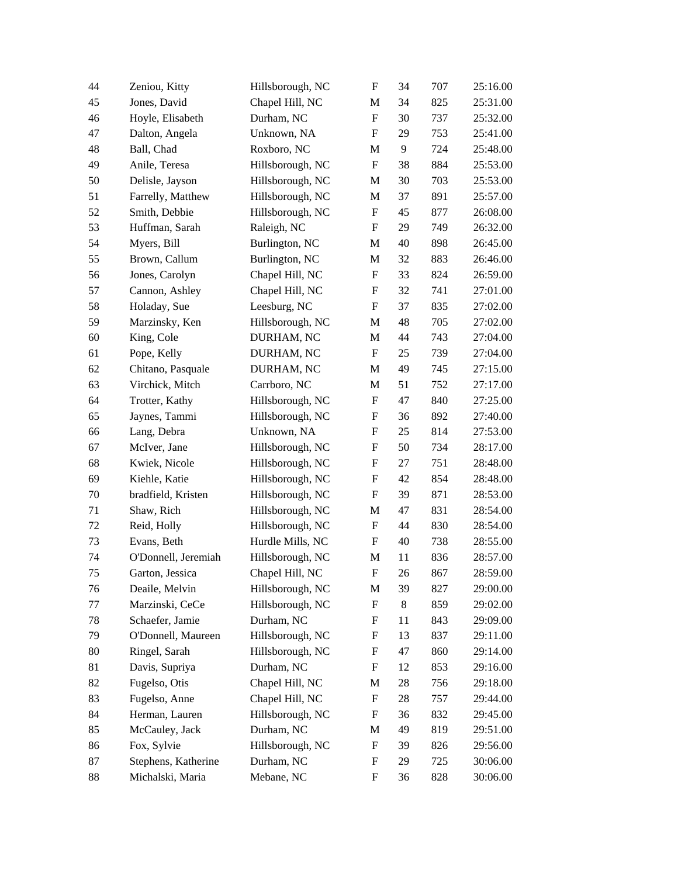| 44 | Zeniou, Kitty       | Hillsborough, NC | $\boldsymbol{\mathrm{F}}$ | 34    | 707 | 25:16.00 |
|----|---------------------|------------------|---------------------------|-------|-----|----------|
| 45 | Jones, David        | Chapel Hill, NC  | M                         | 34    | 825 | 25:31.00 |
| 46 | Hoyle, Elisabeth    | Durham, NC       | ${\rm F}$                 | 30    | 737 | 25:32.00 |
| 47 | Dalton, Angela      | Unknown, NA      | F                         | 29    | 753 | 25:41.00 |
| 48 | Ball, Chad          | Roxboro, NC      | M                         | 9     | 724 | 25:48.00 |
| 49 | Anile, Teresa       | Hillsborough, NC | $\boldsymbol{\mathrm{F}}$ | 38    | 884 | 25:53.00 |
| 50 | Delisle, Jayson     | Hillsborough, NC | M                         | 30    | 703 | 25:53.00 |
| 51 | Farrelly, Matthew   | Hillsborough, NC | M                         | 37    | 891 | 25:57.00 |
| 52 | Smith, Debbie       | Hillsborough, NC | $\boldsymbol{\mathrm{F}}$ | 45    | 877 | 26:08.00 |
| 53 | Huffman, Sarah      | Raleigh, NC      | F                         | 29    | 749 | 26:32.00 |
| 54 | Myers, Bill         | Burlington, NC   | M                         | 40    | 898 | 26:45.00 |
| 55 | Brown, Callum       | Burlington, NC   | M                         | 32    | 883 | 26:46.00 |
| 56 | Jones, Carolyn      | Chapel Hill, NC  | F                         | 33    | 824 | 26:59.00 |
| 57 | Cannon, Ashley      | Chapel Hill, NC  | F                         | 32    | 741 | 27:01.00 |
| 58 | Holaday, Sue        | Leesburg, NC     | F                         | 37    | 835 | 27:02.00 |
| 59 | Marzinsky, Ken      | Hillsborough, NC | M                         | 48    | 705 | 27:02.00 |
| 60 | King, Cole          | DURHAM, NC       | $\mathbf M$               | 44    | 743 | 27:04.00 |
| 61 | Pope, Kelly         | DURHAM, NC       | F                         | 25    | 739 | 27:04.00 |
| 62 | Chitano, Pasquale   | DURHAM, NC       | M                         | 49    | 745 | 27:15.00 |
| 63 | Virchick, Mitch     | Carrboro, NC     | M                         | 51    | 752 | 27:17.00 |
| 64 | Trotter, Kathy      | Hillsborough, NC | F                         | 47    | 840 | 27:25.00 |
| 65 | Jaynes, Tammi       | Hillsborough, NC | F                         | 36    | 892 | 27:40.00 |
| 66 | Lang, Debra         | Unknown, NA      | ${\bf F}$                 | 25    | 814 | 27:53.00 |
| 67 | McIver, Jane        | Hillsborough, NC | F                         | 50    | 734 | 28:17.00 |
| 68 | Kwiek, Nicole       | Hillsborough, NC | F                         | 27    | 751 | 28:48.00 |
| 69 | Kiehle, Katie       | Hillsborough, NC | F                         | 42    | 854 | 28:48.00 |
| 70 | bradfield, Kristen  | Hillsborough, NC | F                         | 39    | 871 | 28:53.00 |
| 71 | Shaw, Rich          | Hillsborough, NC | M                         | 47    | 831 | 28:54.00 |
| 72 | Reid, Holly         | Hillsborough, NC | F                         | 44    | 830 | 28:54.00 |
| 73 | Evans, Beth         | Hurdle Mills, NC | $\mathbf F$               | 40    | 738 | 28:55.00 |
| 74 | O'Donnell, Jeremiah | Hillsborough, NC | M                         | 11    | 836 | 28:57.00 |
| 75 | Garton, Jessica     | Chapel Hill, NC  | $\mathbf F$               | 26    | 867 | 28:59.00 |
| 76 | Deaile, Melvin      | Hillsborough, NC | M                         | 39    | 827 | 29:00.00 |
| 77 | Marzinski, CeCe     | Hillsborough, NC | ${\bf F}$                 | $8\,$ | 859 | 29:02.00 |
| 78 | Schaefer, Jamie     | Durham, NC       | F                         | 11    | 843 | 29:09.00 |
| 79 | O'Donnell, Maureen  | Hillsborough, NC | F                         | 13    | 837 | 29:11.00 |
| 80 | Ringel, Sarah       | Hillsborough, NC | F                         | 47    | 860 | 29:14.00 |
| 81 | Davis, Supriya      | Durham, NC       | F                         | 12    | 853 | 29:16.00 |
| 82 | Fugelso, Otis       | Chapel Hill, NC  | M                         | 28    | 756 | 29:18.00 |
| 83 | Fugelso, Anne       | Chapel Hill, NC  | F                         | 28    | 757 | 29:44.00 |
| 84 | Herman, Lauren      | Hillsborough, NC | F                         | 36    | 832 | 29:45.00 |
| 85 | McCauley, Jack      | Durham, NC       | M                         | 49    | 819 | 29:51.00 |
| 86 | Fox, Sylvie         | Hillsborough, NC | F                         | 39    | 826 | 29:56.00 |
| 87 | Stephens, Katherine | Durham, NC       | F                         | 29    | 725 | 30:06.00 |
| 88 | Michalski, Maria    | Mebane, NC       | F                         | 36    | 828 | 30:06.00 |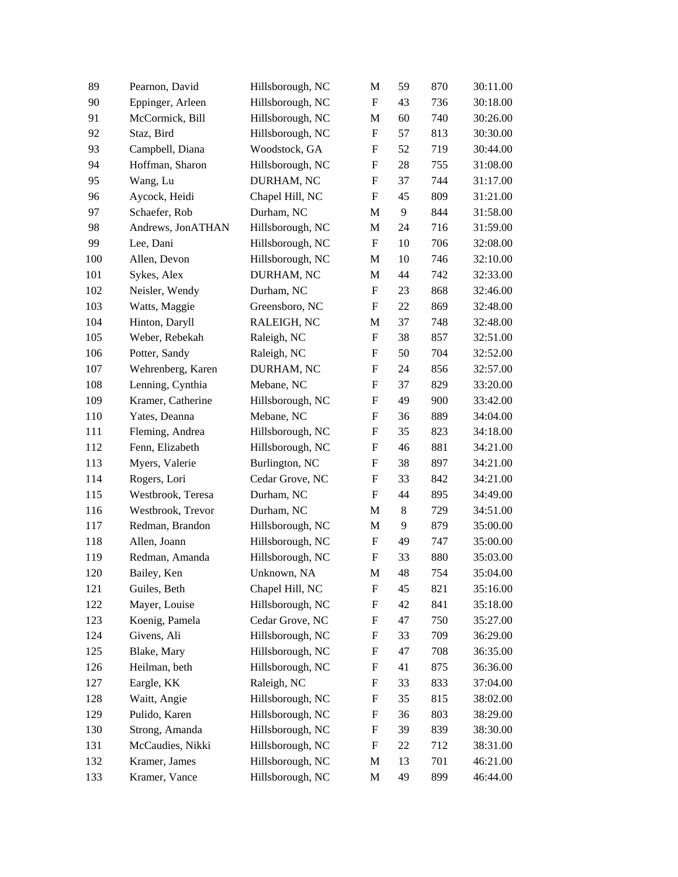| 89  | Pearnon, David    | Hillsborough, NC | M                         | 59    | 870 | 30:11.00 |
|-----|-------------------|------------------|---------------------------|-------|-----|----------|
| 90  | Eppinger, Arleen  | Hillsborough, NC | $\mathbf F$               | 43    | 736 | 30:18.00 |
| 91  | McCormick, Bill   | Hillsborough, NC | M                         | 60    | 740 | 30:26.00 |
| 92  | Staz, Bird        | Hillsborough, NC | F                         | 57    | 813 | 30:30.00 |
| 93  | Campbell, Diana   | Woodstock, GA    | ${\rm F}$                 | 52    | 719 | 30:44.00 |
| 94  | Hoffman, Sharon   | Hillsborough, NC | F                         | 28    | 755 | 31:08.00 |
| 95  | Wang, Lu          | DURHAM, NC       | F                         | 37    | 744 | 31:17.00 |
| 96  | Aycock, Heidi     | Chapel Hill, NC  | F                         | 45    | 809 | 31:21.00 |
| 97  | Schaefer, Rob     | Durham, NC       | M                         | 9     | 844 | 31:58.00 |
| 98  | Andrews, JonATHAN | Hillsborough, NC | M                         | 24    | 716 | 31:59.00 |
| 99  | Lee, Dani         | Hillsborough, NC | F                         | 10    | 706 | 32:08.00 |
| 100 | Allen, Devon      | Hillsborough, NC | M                         | 10    | 746 | 32:10.00 |
| 101 | Sykes, Alex       | DURHAM, NC       | M                         | 44    | 742 | 32:33.00 |
| 102 | Neisler, Wendy    | Durham, NC       | $\boldsymbol{\mathrm{F}}$ | 23    | 868 | 32:46.00 |
| 103 | Watts, Maggie     | Greensboro, NC   | $\boldsymbol{\mathrm{F}}$ | 22    | 869 | 32:48.00 |
| 104 | Hinton, Daryll    | RALEIGH, NC      | M                         | 37    | 748 | 32:48.00 |
| 105 | Weber, Rebekah    | Raleigh, NC      | F                         | 38    | 857 | 32:51.00 |
| 106 | Potter, Sandy     | Raleigh, NC      | F                         | 50    | 704 | 32:52.00 |
| 107 | Wehrenberg, Karen | DURHAM, NC       | F                         | 24    | 856 | 32:57.00 |
| 108 | Lenning, Cynthia  | Mebane, NC       | ${\rm F}$                 | 37    | 829 | 33:20.00 |
| 109 | Kramer, Catherine | Hillsborough, NC | F                         | 49    | 900 | 33:42.00 |
| 110 | Yates, Deanna     | Mebane, NC       | F                         | 36    | 889 | 34:04.00 |
| 111 | Fleming, Andrea   | Hillsborough, NC | ${\rm F}$                 | 35    | 823 | 34:18.00 |
| 112 | Fenn, Elizabeth   | Hillsborough, NC | F                         | 46    | 881 | 34:21.00 |
| 113 | Myers, Valerie    | Burlington, NC   | F                         | 38    | 897 | 34:21.00 |
| 114 | Rogers, Lori      | Cedar Grove, NC  | $\boldsymbol{\mathrm{F}}$ | 33    | 842 | 34:21.00 |
| 115 | Westbrook, Teresa | Durham, NC       | ${\rm F}$                 | 44    | 895 | 34:49.00 |
| 116 | Westbrook, Trevor | Durham, NC       | M                         | $8\,$ | 729 | 34:51.00 |
| 117 | Redman, Brandon   | Hillsborough, NC | M                         | 9     | 879 | 35:00.00 |
| 118 | Allen, Joann      | Hillsborough, NC | F                         | 49    | 747 | 35:00.00 |
| 119 | Redman, Amanda    | Hillsborough, NC | F                         | 33    | 880 | 35:03.00 |
| 120 | Bailey, Ken       | Unknown, NA      | M                         | 48    | 754 | 35:04.00 |
| 121 | Guiles, Beth      | Chapel Hill, NC  | ${\rm F}$                 | 45    | 821 | 35:16.00 |
| 122 | Mayer, Louise     | Hillsborough, NC | F                         | 42    | 841 | 35:18.00 |
| 123 | Koenig, Pamela    | Cedar Grove, NC  | ${\rm F}$                 | 47    | 750 | 35:27.00 |
| 124 | Givens, Ali       | Hillsborough, NC | ${\rm F}$                 | 33    | 709 | 36:29.00 |
| 125 | Blake, Mary       | Hillsborough, NC | ${\bf F}$                 | 47    | 708 | 36:35.00 |
| 126 | Heilman, beth     | Hillsborough, NC | ${\rm F}$                 | 41    | 875 | 36:36.00 |
| 127 | Eargle, KK        | Raleigh, NC      | ${\rm F}$                 | 33    | 833 | 37:04.00 |
| 128 | Waitt, Angie      | Hillsborough, NC | F                         | 35    | 815 | 38:02.00 |
| 129 | Pulido, Karen     | Hillsborough, NC | ${\rm F}$                 | 36    | 803 | 38:29.00 |
| 130 | Strong, Amanda    | Hillsborough, NC | ${\rm F}$                 | 39    | 839 | 38:30.00 |
| 131 | McCaudies, Nikki  | Hillsborough, NC | $\boldsymbol{\mathrm{F}}$ | 22    | 712 | 38:31.00 |
| 132 | Kramer, James     | Hillsborough, NC | M                         | 13    | 701 | 46:21.00 |
| 133 | Kramer, Vance     | Hillsborough, NC | M                         | 49    | 899 | 46:44.00 |